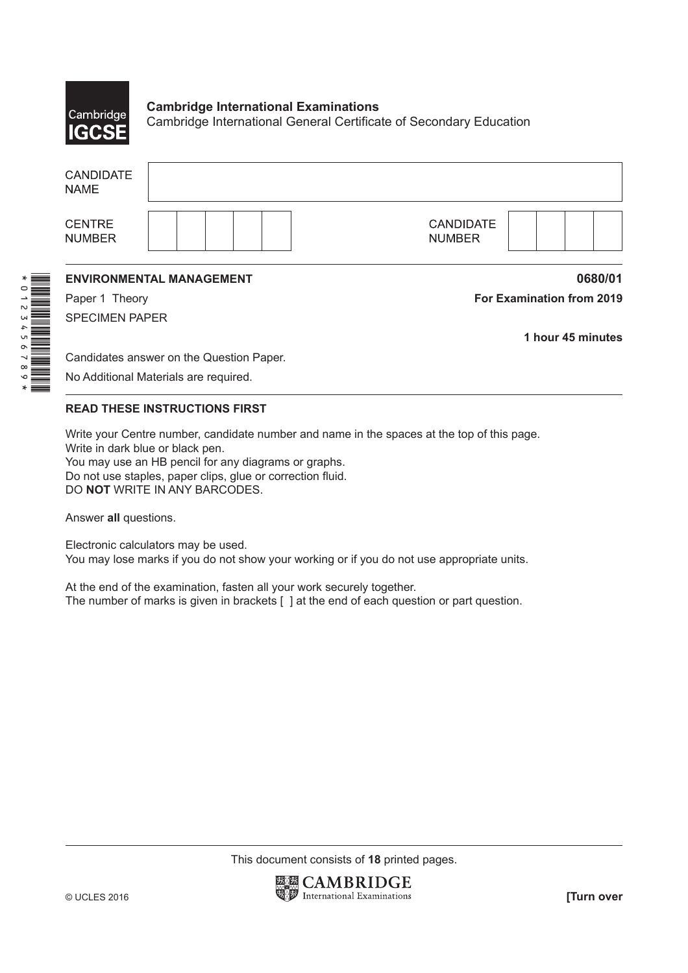

\*0123456789\*

**Cambridge International Examinations** Cambridge International General Certificate of Secondary Education

| <b>CANDIDATE</b><br><b>NAME</b>       |                                          |                                   |  |
|---------------------------------------|------------------------------------------|-----------------------------------|--|
| <b>CENTRE</b><br><b>NUMBER</b>        |                                          | <b>CANDIDATE</b><br><b>NUMBER</b> |  |
|                                       | <b>ENVIRONMENTAL MANAGEMENT</b>          | 0680/01                           |  |
| Paper 1 Theory                        |                                          | <b>For Examination from 2019</b>  |  |
| <b>SPECIMEN PAPER</b>                 |                                          |                                   |  |
|                                       |                                          | 1 hour 45 minutes                 |  |
|                                       | Candidates answer on the Question Paper. |                                   |  |
| No Additional Materials are required. |                                          |                                   |  |

## **READ THESE INSTRUCTIONS FIRST**

Write your Centre number, candidate number and name in the spaces at the top of this page. Write in dark blue or black pen. You may use an HB pencil for any diagrams or graphs.

Do not use staples, paper clips, glue or correction fluid. DO **NOT** WRITE IN ANY BARCODES.

Answer **all** questions.

Electronic calculators may be used. You may lose marks if you do not show your working or if you do not use appropriate units.

At the end of the examination, fasten all your work securely together. The number of marks is given in brackets [ ] at the end of each question or part question.

This document consists of **18** printed pages.

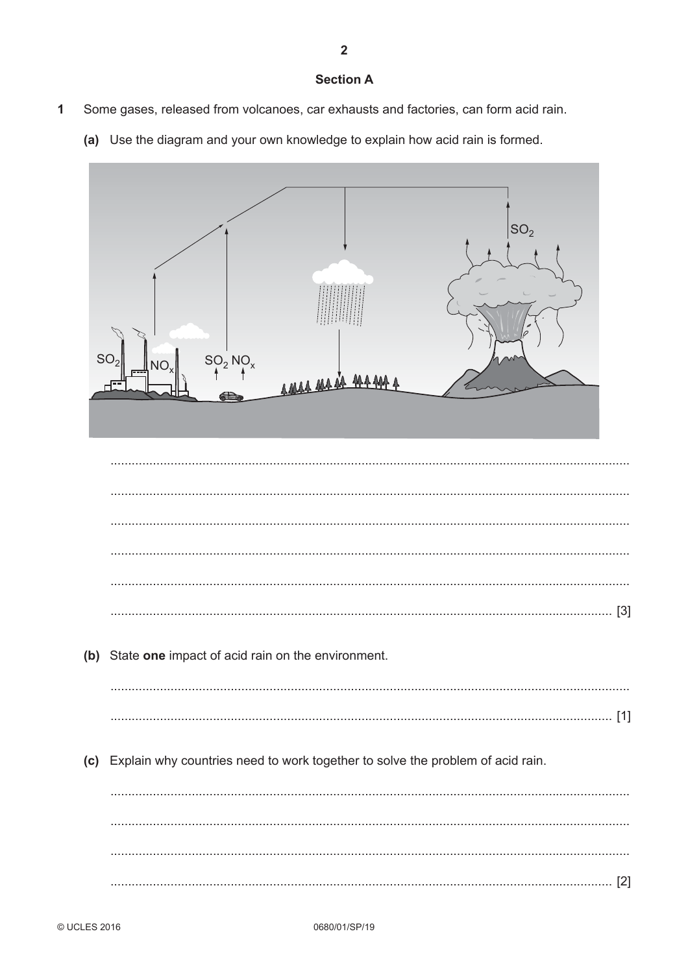## **Section A**

- $\overline{1}$ Some gases, released from volcanoes, car exhausts and factories, can form acid rain.
	- (a) Use the diagram and your own knowledge to explain how acid rain is formed.

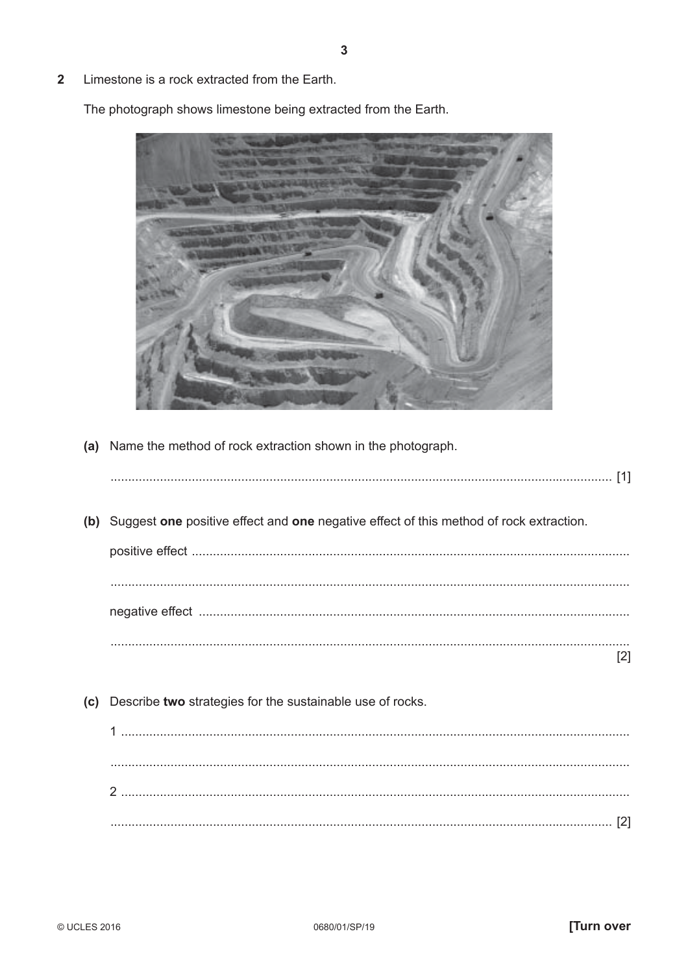$\overline{\mathbf{2}}$ Limestone is a rock extracted from the Earth.

The photograph shows limestone being extracted from the Earth.



(a) Name the method of rock extraction shown in the photograph.

|     | (b) Suggest one positive effect and one negative effect of this method of rock extraction. |
|-----|--------------------------------------------------------------------------------------------|
|     |                                                                                            |
|     | [2]                                                                                        |
| (c) | Describe two strategies for the sustainable use of rocks.                                  |
|     |                                                                                            |
|     |                                                                                            |
|     |                                                                                            |
|     |                                                                                            |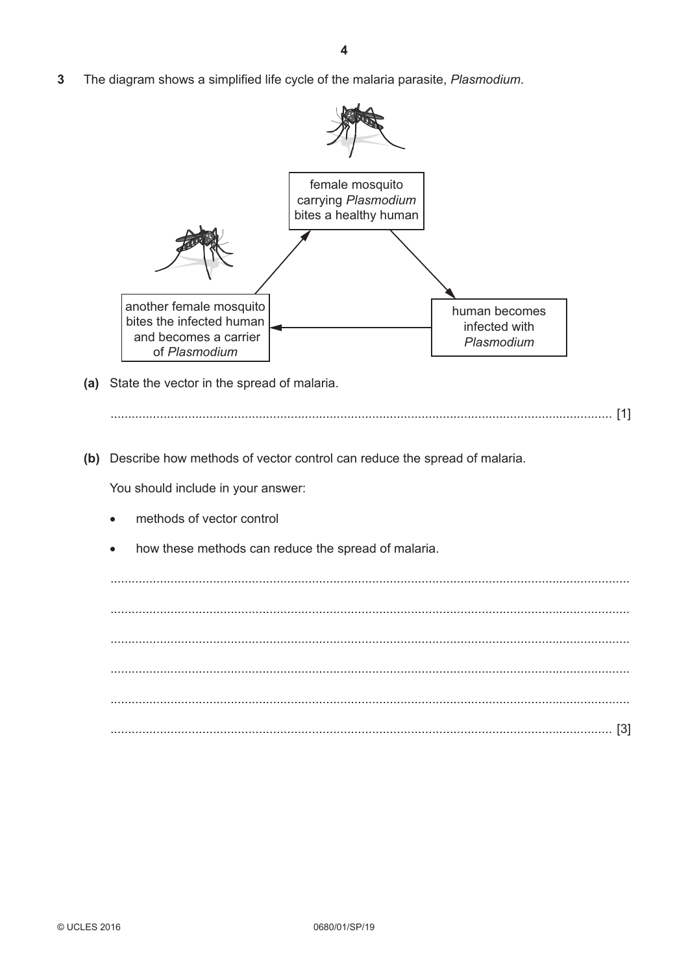$\overline{3}$ The diagram shows a simplified life cycle of the malaria parasite, Plasmodium.



(a) State the vector in the spread of malaria.

(b) Describe how methods of vector control can reduce the spread of malaria.

You should include in your answer:

- methods of vector control
- how these methods can reduce the spread of malaria.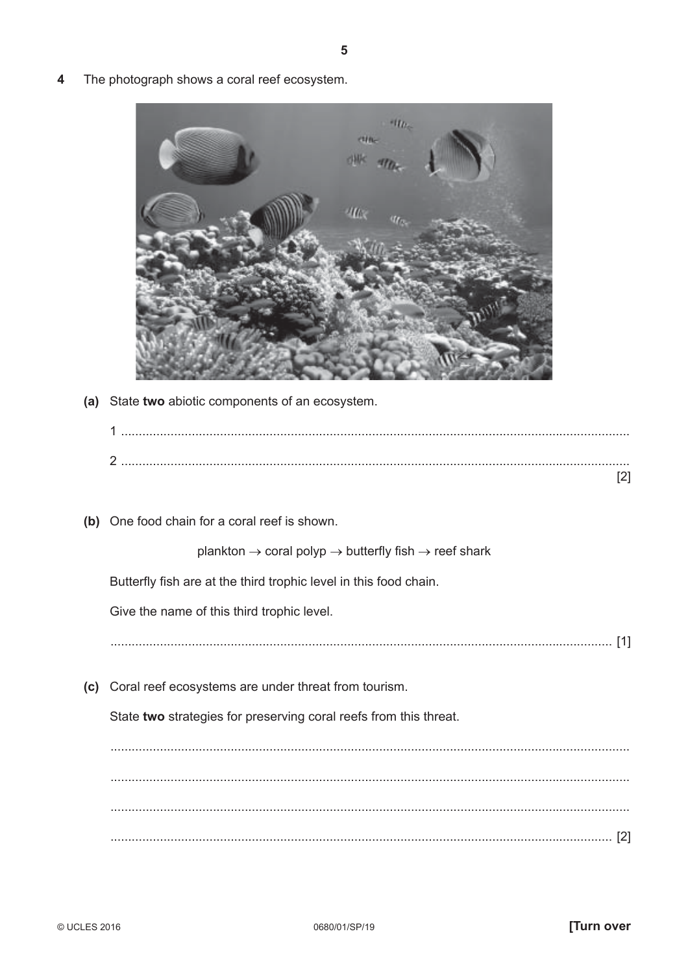- $+110 2210$  $H\alpha$ (a) State two abiotic components of an ecosystem.  $[2]$ (b) One food chain for a coral reef is shown. plankton  $\rightarrow$  coral polyp  $\rightarrow$  butterfly fish  $\rightarrow$  reef shark Butterfly fish are at the third trophic level in this food chain. Give the name of this third trophic level. (c) Coral reef ecosystems are under threat from tourism. State two strategies for preserving coral reefs from this threat.
- The photograph shows a coral reef ecosystem. Δ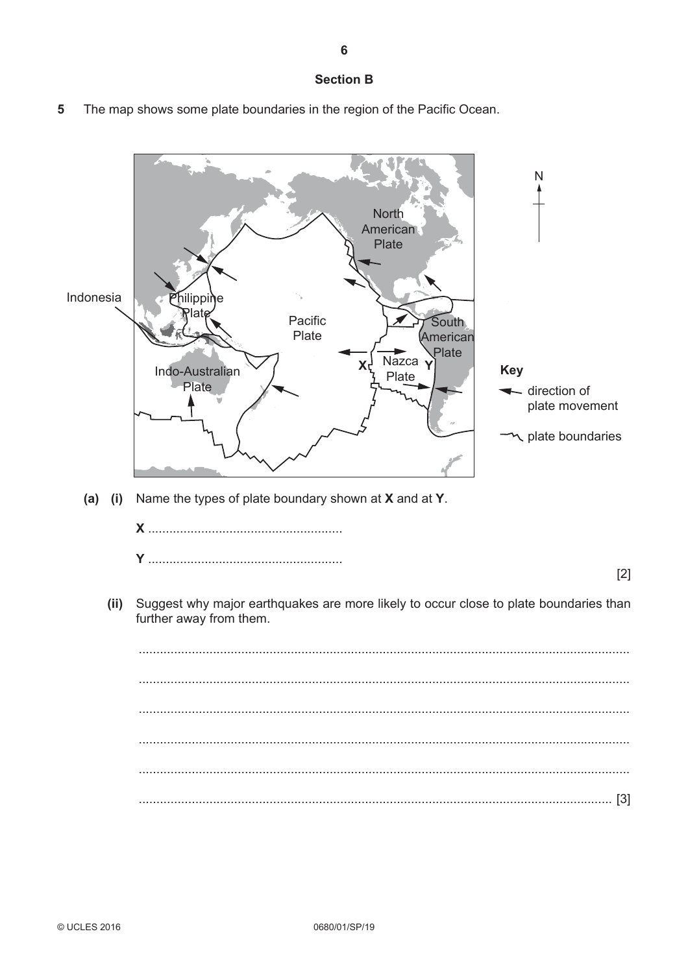## **Section B**

5 The map shows some plate boundaries in the region of the Pacific Ocean.

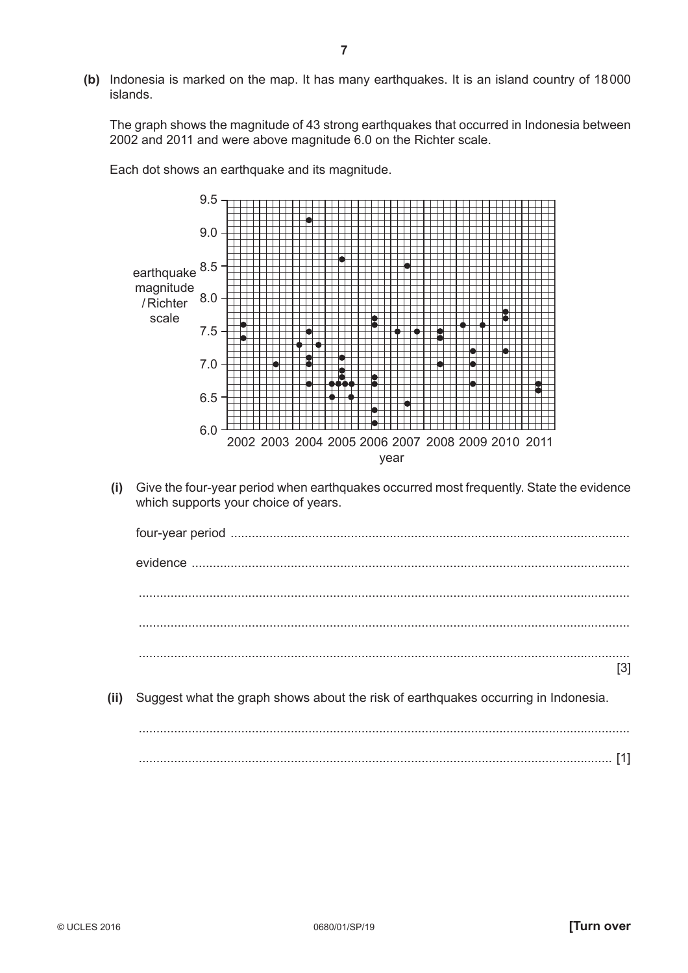**(b)** Indonesia is marked on the map. It has many earthquakes. It is an island country of 18 000 islands.

The graph shows the magnitude of 43 strong earthquakes that occurred in Indonesia between 2002 and 2011 and were above magnitude 6.0 on the Richter scale.

Each dot shows an earthquake and its magnitude.



 **(i)** Give the four-year period when earthquakes occurred most frequently. State the evidence which supports your choice of years.

|      | [3]                                                                                |
|------|------------------------------------------------------------------------------------|
| (ii) | Suggest what the graph shows about the risk of earthquakes occurring in Indonesia. |
|      |                                                                                    |
|      |                                                                                    |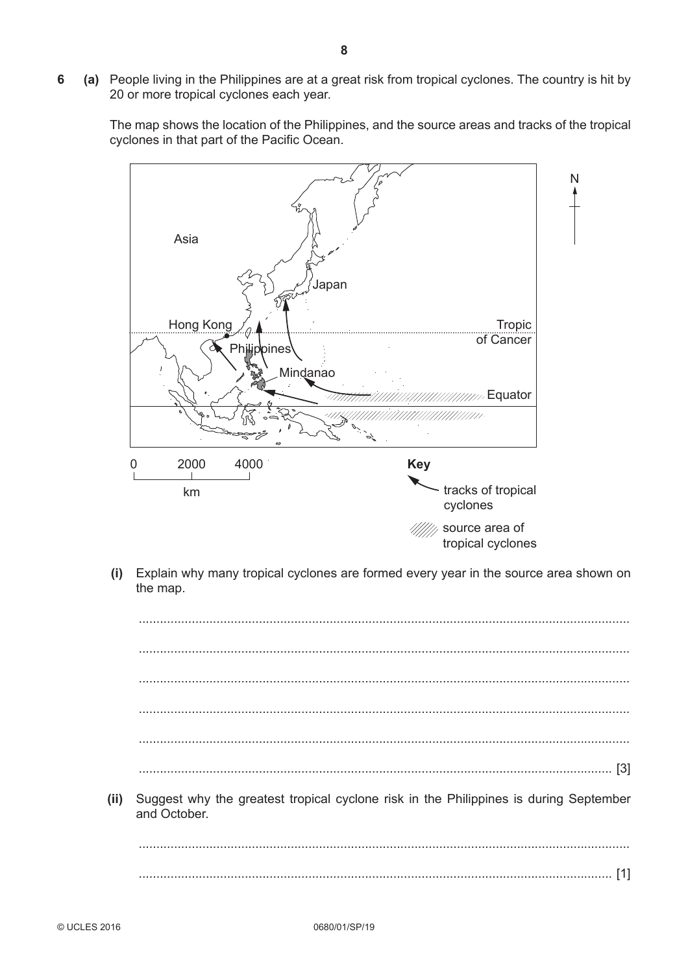**6 (a)** People living in the Philippines are at a great risk from tropical cyclones. The country is hit by 20 or more tropical cyclones each year.

The map shows the location of the Philippines, and the source areas and tracks of the tropical cyclones in that part of the Pacific Ocean.



 **(i)** Explain why many tropical cyclones are formed every year in the source area shown on the map.

|      | $\lceil 3 \rceil$                                                                                     |
|------|-------------------------------------------------------------------------------------------------------|
| (ii) | Suggest why the greatest tropical cyclone risk in the Philippines is during September<br>and October. |
|      |                                                                                                       |
|      |                                                                                                       |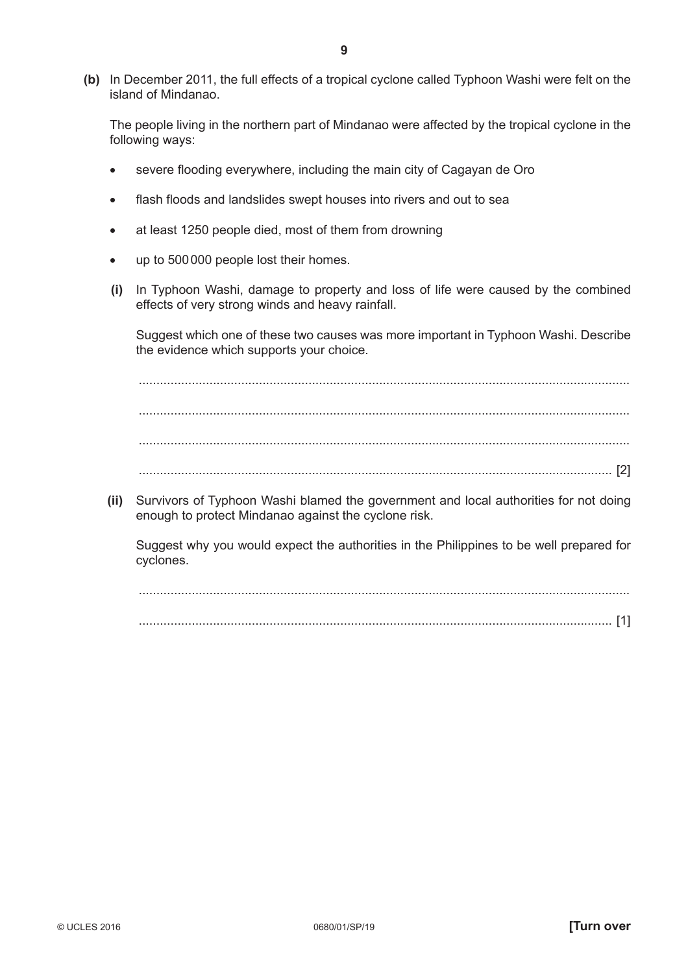**(b)** In December 2011, the full effects of a tropical cyclone called Typhoon Washi were felt on the island of Mindanao.

The people living in the northern part of Mindanao were affected by the tropical cyclone in the following ways:

- severe flooding everywhere, including the main city of Cagayan de Oro
- flash floods and landslides swept houses into rivers and out to sea
- at least 1250 people died, most of them from drowning
- up to 500 000 people lost their homes.
- **(i)** In Typhoon Washi, damage to property and loss of life were caused by the combined effects of very strong winds and heavy rainfall.

Suggest which one of these two causes was more important in Typhoon Washi. Describe the evidence which supports your choice.

 ........................................................................................................................................... ........................................................................................................................................... ........................................................................................................................................... ...................................................................................................................................... [2]

 **(ii)** Survivors of Typhoon Washi blamed the government and local authorities for not doing enough to protect Mindanao against the cyclone risk.

Suggest why you would expect the authorities in the Philippines to be well prepared for cyclones.

...................................................................................................................................... [1]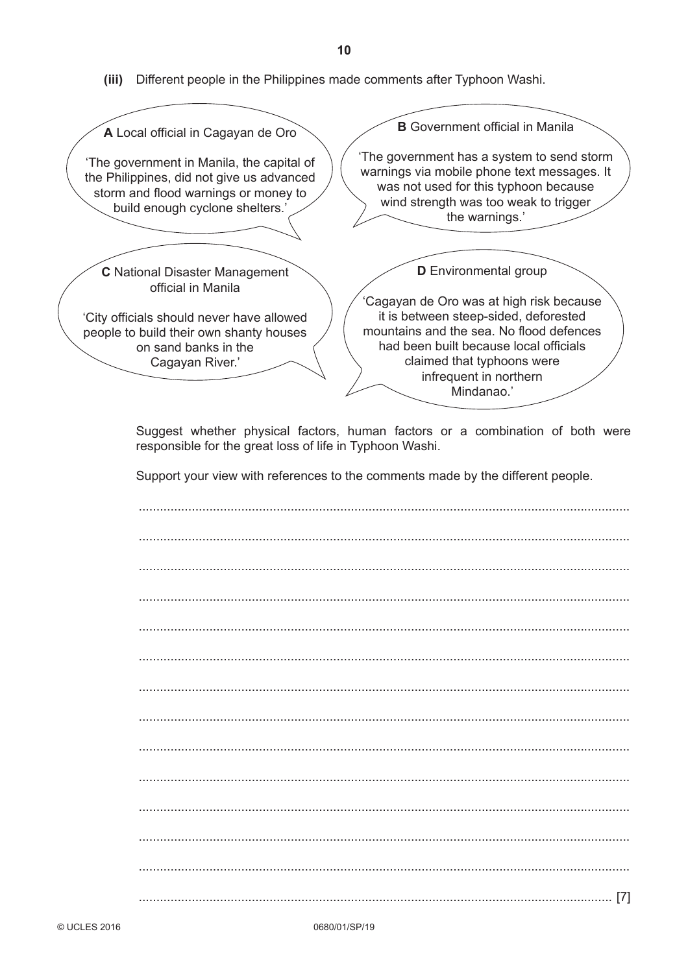**(iii)** Different people in the Philippines made comments after Typhoon Washi.

| <b>B</b> Government official in Manila<br>A Local official in Cagayan de Oro                                                                                                                                                                                                                                                                                                     |
|----------------------------------------------------------------------------------------------------------------------------------------------------------------------------------------------------------------------------------------------------------------------------------------------------------------------------------------------------------------------------------|
| The government has a system to send storm<br>'The government in Manila, the capital of<br>warnings via mobile phone text messages. It<br>the Philippines, did not give us advanced<br>was not used for this typhoon because<br>storm and flood warnings or money to<br>wind strength was too weak to trigger<br>build enough cyclone shelters.'<br>the warnings.'                |
| <b>D</b> Environmental group<br><b>C</b> National Disaster Management<br>official in Manila                                                                                                                                                                                                                                                                                      |
| 'Cagayan de Oro was at high risk because<br>it is between steep-sided, deforested<br>'City officials should never have allowed<br>mountains and the sea. No flood defences<br>people to build their own shanty houses<br>had been built because local officials<br>on sand banks in the<br>claimed that typhoons were<br>Cagayan River.'<br>infrequent in northern<br>Mindanao.' |
| Suggest whether physical factors, human factors or a combination of both were<br>responsible for the great loss of life in Typhoon Washi.                                                                                                                                                                                                                                        |
| Support your view with references to the comments made by the different people.                                                                                                                                                                                                                                                                                                  |
|                                                                                                                                                                                                                                                                                                                                                                                  |
|                                                                                                                                                                                                                                                                                                                                                                                  |
|                                                                                                                                                                                                                                                                                                                                                                                  |
|                                                                                                                                                                                                                                                                                                                                                                                  |

 ........................................................................................................................................... ........................................................................................................................................... ........................................................................................................................................... ........................................................................................................................................... ........................................................................................................................................... ........................................................................................................................................... ........................................................................................................................................... ........................................................................................................................................... ...................................................................................................................................... [7]

**10**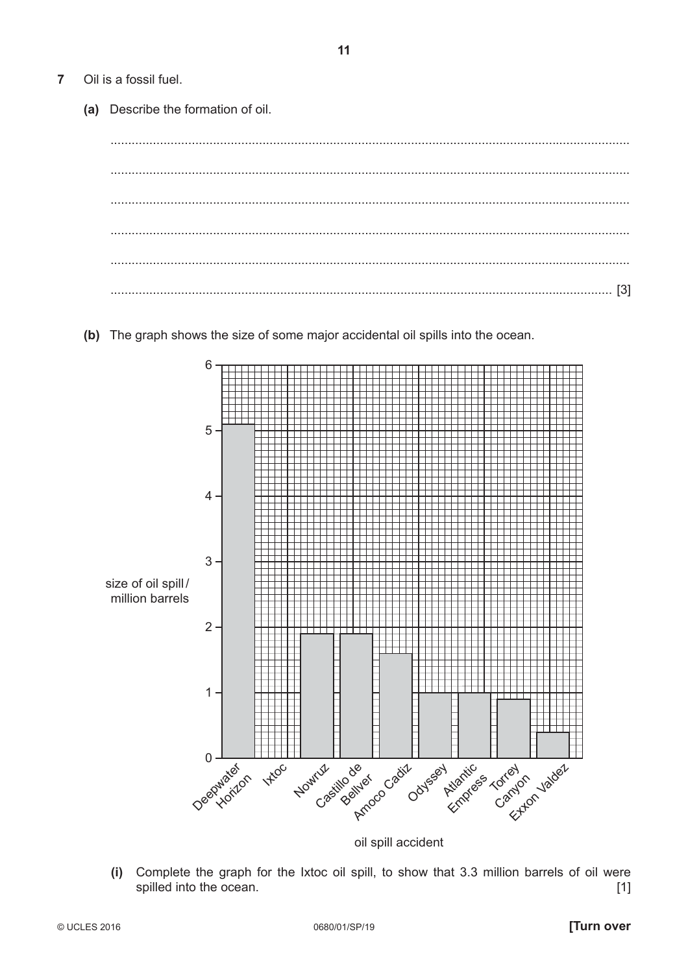- $\overline{7}$ Oil is a fossil fuel.
	- (a) Describe the formation of oil.
	- (b) The graph shows the size of some major accidental oil spills into the ocean.



oil spill accident

Complete the graph for the Ixtoc oil spill, to show that 3.3 million barrels of oil were  $(i)$ spilled into the ocean.  $[1]$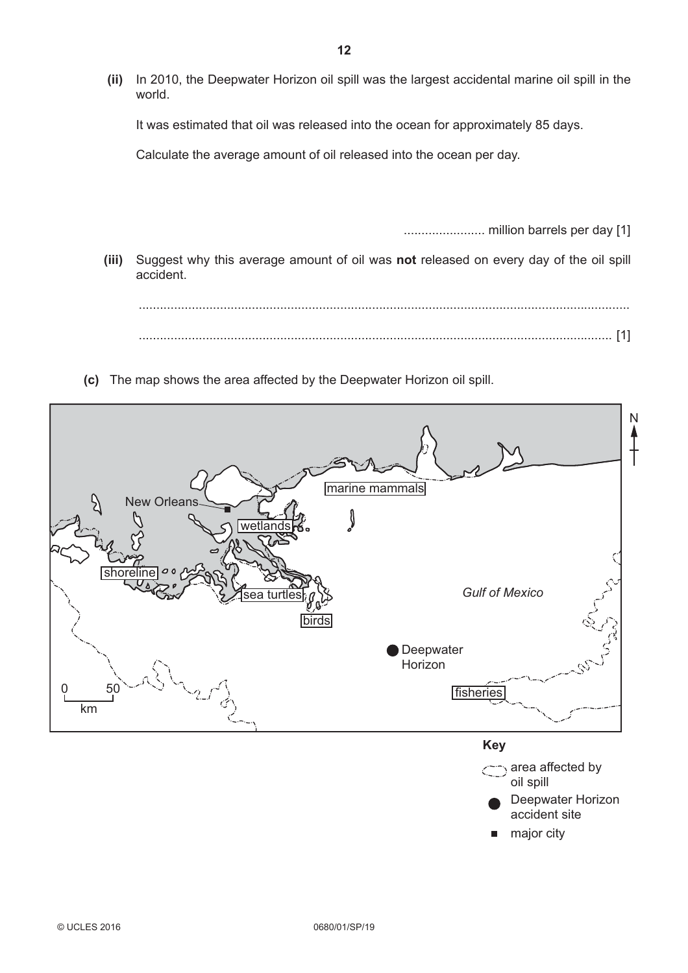**(ii)** In 2010, the Deepwater Horizon oil spill was the largest accidental marine oil spill in the world.

It was estimated that oil was released into the ocean for approximately 85 days.

Calculate the average amount of oil released into the ocean per day.

....................... million barrels per day [1]

 **(iii)** Suggest why this average amount of oil was **not** released on every day of the oil spill accident.

 ........................................................................................................................................... ...................................................................................................................................... [1]

 **(c)** The map shows the area affected by the Deepwater Horizon oil spill.

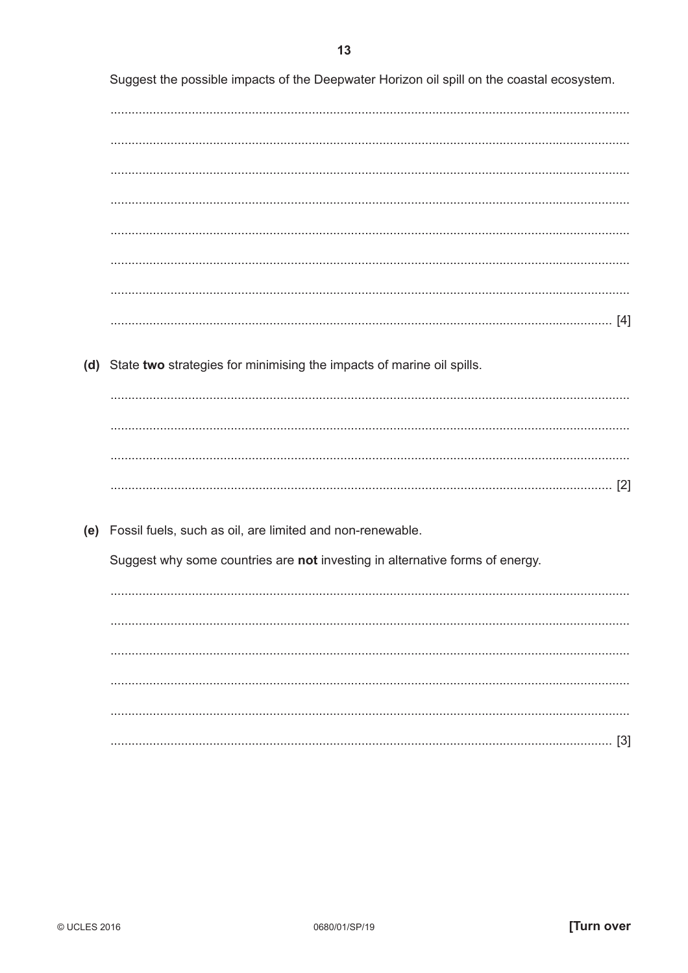Suggest the possible impacts of the Deepwater Horizon oil spill on the coastal ecosystem. (d) State two strategies for minimising the impacts of marine oil spills. (e) Fossil fuels, such as oil, are limited and non-renewable. Suggest why some countries are not investing in alternative forms of energy.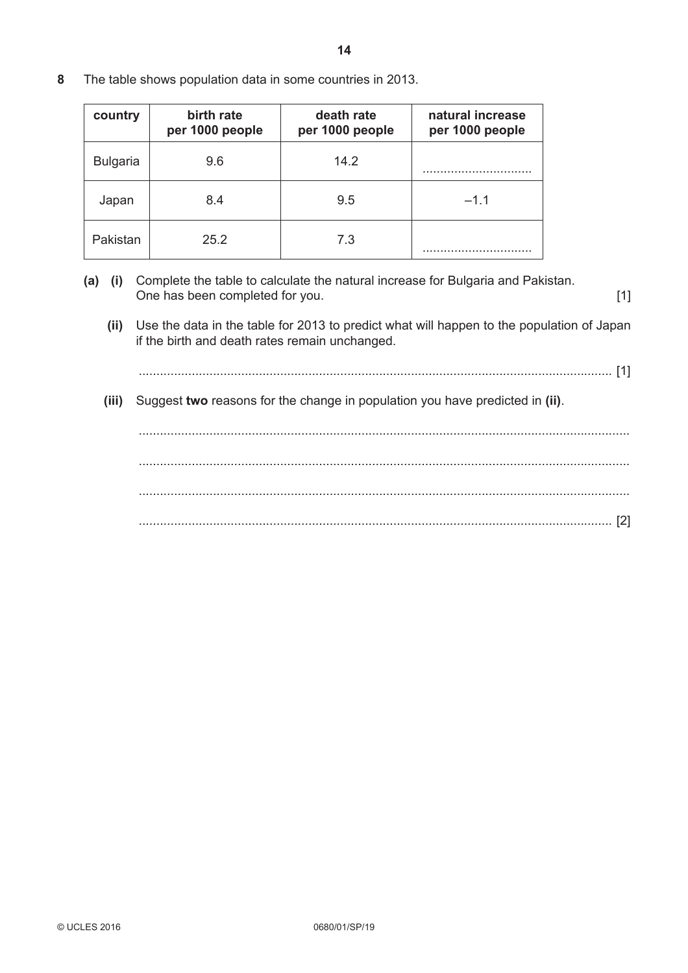**8** The table shows population data in some countries in 2013.

| country         | birth rate<br>per 1000 people | death rate<br>per 1000 people | natural increase<br>per 1000 people |
|-----------------|-------------------------------|-------------------------------|-------------------------------------|
| <b>Bulgaria</b> | 9.6                           | 14.2                          |                                     |
| Japan           | 8.4                           | 9.5                           | $-1.1$                              |
| Pakistan        | 25.2                          | 7.3                           |                                     |

- **(a) (i)** Complete the table to calculate the natural increase for Bulgaria and Pakistan. One has been completed for you. [1]
	- **(ii)** Use the data in the table for 2013 to predict what will happen to the population of Japan if the birth and death rates remain unchanged.
		- ...................................................................................................................................... [1]
	- **(iii)** Suggest **two** reasons for the change in population you have predicted in **(ii)**.

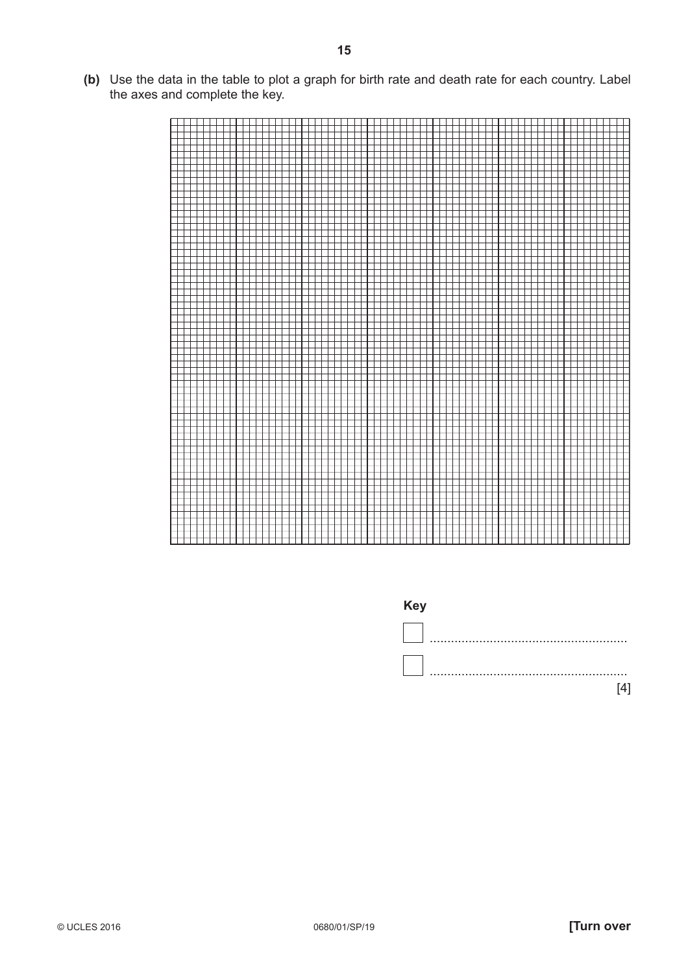**(b)** Use the data in the table to plot a graph for birth rate and death rate for each country. Label the axes and complete the key.





**Key**

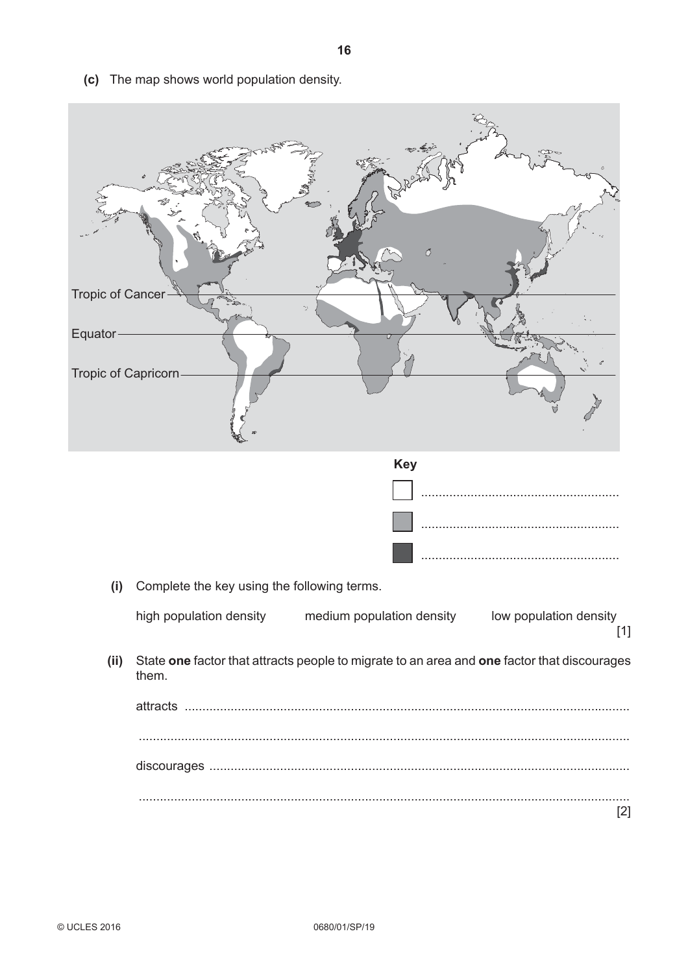**Tropic of Cancer** Equator-Tropic of Capricorn **Key** (i) Complete the key using the following terms. high population density medium population density low population density  $[1]$ (ii) State one factor that attracts people to migrate to an area and one factor that discourages them.  $[2]$ 

(c) The map shows world population density.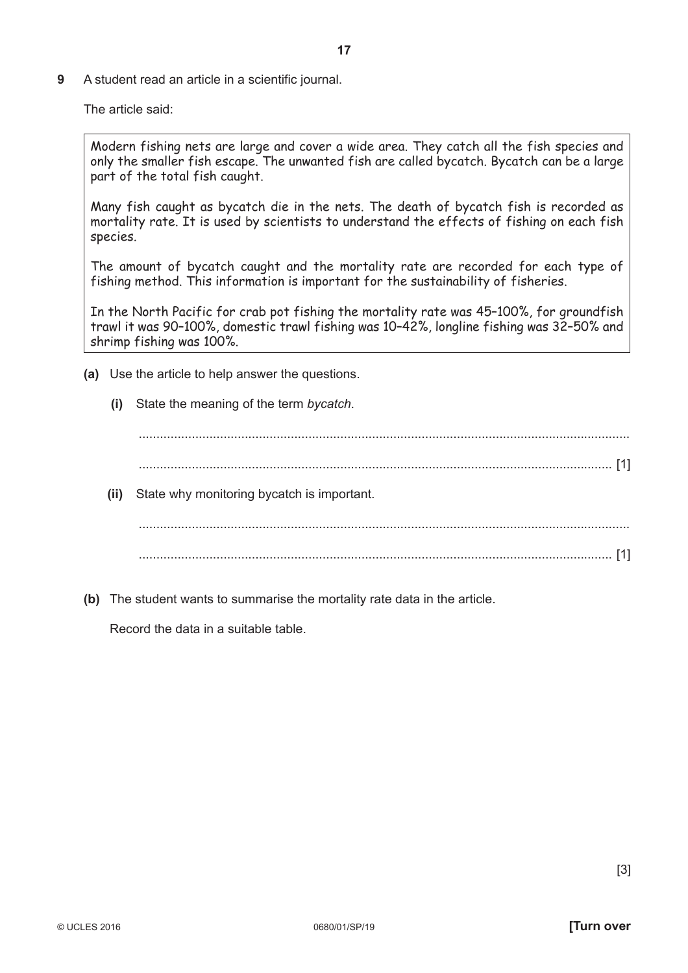**9** A student read an article in a scientific journal.

The article said:

Modern fishing nets are large and cover a wide area. They catch all the fish species and only the smaller fish escape. The unwanted fish are called bycatch. Bycatch can be a large part of the total fish caught.

Many fish caught as bycatch die in the nets. The death of bycatch fish is recorded as mortality rate. It is used by scientists to understand the effects of fishing on each fish species.

The amount of bycatch caught and the mortality rate are recorded for each type of fishing method. This information is important for the sustainability of fisheries.

In the North Pacific for crab pot fishing the mortality rate was 45–100%, for groundfish trawl it was 90–100%, domestic trawl fishing was 10–42%, longline fishing was 32–50% and shrimp fishing was 100%.

- **(a)** Use the article to help answer the questions.
	- **(i)** State the meaning of the term *bycatch*.

 ........................................................................................................................................... ...................................................................................................................................... [1]  **(ii)** State why monitoring bycatch is important. ........................................................................................................................................... ...................................................................................................................................... [1]

 **(b)** The student wants to summarise the mortality rate data in the article.

Record the data in a suitable table.